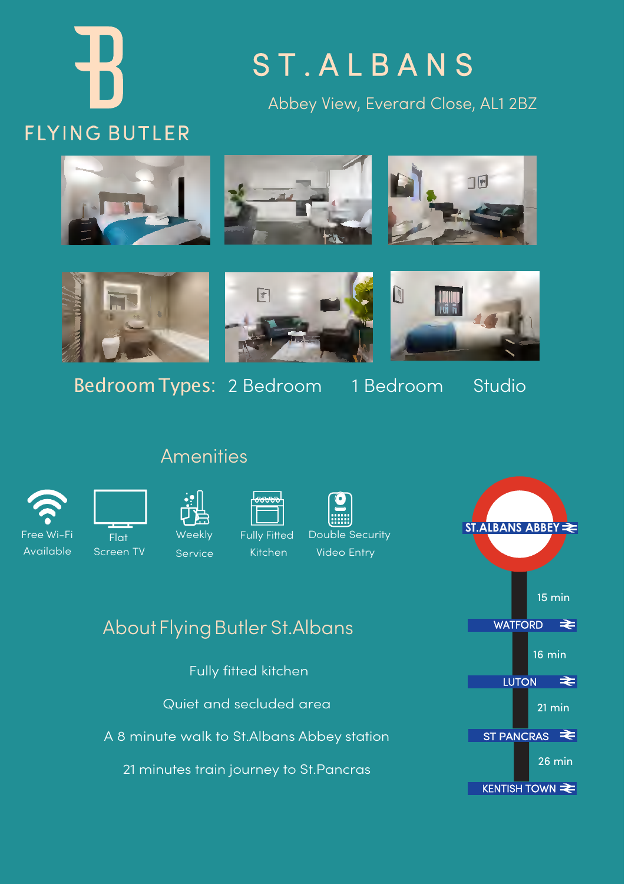# **FLYING BUTLER**

## S T . A L B A N S

Abbey View, Everard Close, AL1 2BZ





Bedroom Types: 2 Bedroom 1 Bedroom Studio



D



#### **Amenities**



Free Wi-Fi  $\overline{F|_{\Omega}}$ Screen TV

Available Screen TV Service Kitchen Video Entry

### About Flying Butler St. Albans

Fully fitted kitchen

Quiet and secluded area

A 8 minute walk to St.Albans Abbey station

21 minutes train journey to St.Pancras